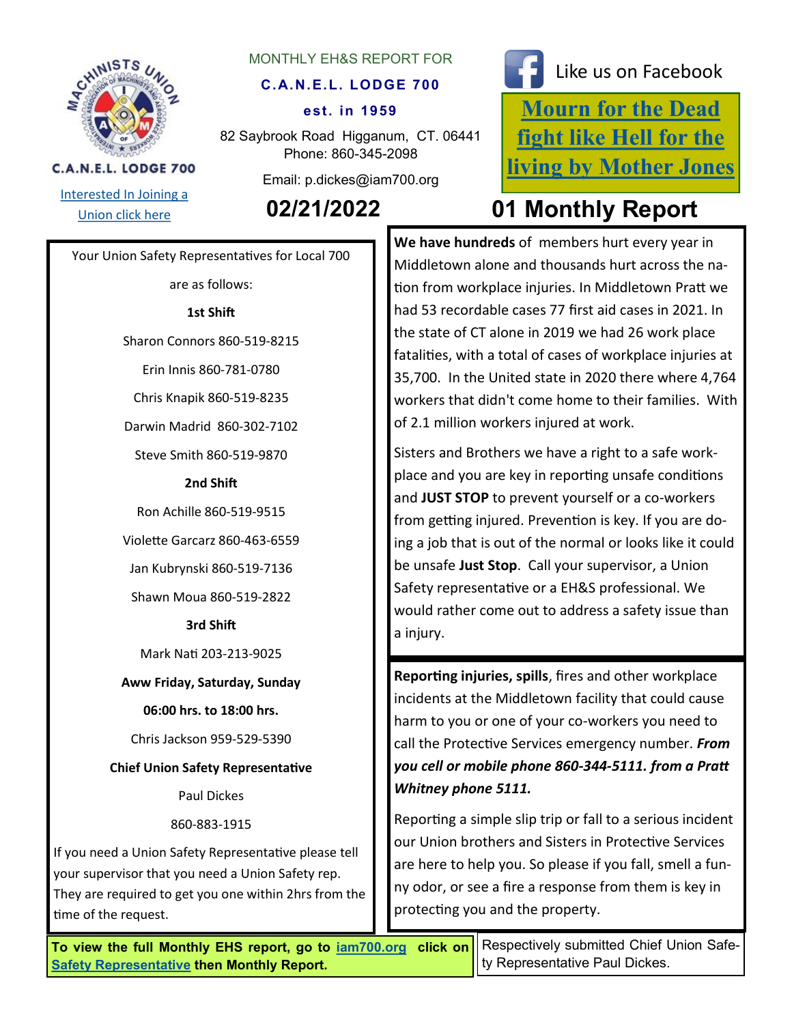

## MONTHLY EH&S REPORT FOR

# **C.A.N.E.L. LODGE 700**

#### **est. in 1959**

82 Saybrook Road Higganum, CT. 06441 Phone: 860-345-2098

Email: p.dickes@iam700.org



**C.A.N.E.L. LODGE 700** 

# **[Mourn for the Dead](https://aflcio.org/2017/4/28/mourn-dead-fight-hell-living)  [fight like Hell for the](https://aflcio.org/2017/4/28/mourn-dead-fight-hell-living)  [living by Mother Jones](https://aflcio.org/2017/4/28/mourn-dead-fight-hell-living)** Like us on Facebook

# [Union click here](http://iamawdistrictlodge26.comcastbiz.net/contact-us.shtml) **02/21/2022 01 Monthly Report**

Your Union Safety Representatives for Local 700

are as follows:

# **1st Shift**

Sharon Connors 860-519-8215

Erin Innis 860-781-0780

Chris Knapik 860-519-8235

Darwin Madrid 860-302-7102

Steve Smith 860-519-9870

### **2nd Shift**

Ron Achille 860-519-9515

Violette Garcarz 860-463-6559

Jan Kubrynski 860-519-7136

Shawn Moua 860-519-2822

# **3rd Shift**

Mark Nati 203-213-9025

**Aww Friday, Saturday, Sunday** 

**06:00 hrs. to 18:00 hrs.**

Chris Jackson 959-529-5390

**Chief Union Safety Representative**

Paul Dickes

860-883-1915

If you need a Union Safety Representative please tell your supervisor that you need a Union Safety rep. They are required to get you one within 2hrs from the time of the request.

**We have hundreds** of members hurt every year in Middletown alone and thousands hurt across the nation from workplace injuries. In Middletown Pratt we had 53 recordable cases 77 first aid cases in 2021. In the state of CT alone in 2019 we had 26 work place fatalities, with a total of cases of workplace injuries at 35,700. In the United state in 2020 there where 4,764 workers that didn't come home to their families. With of 2.1 million workers injured at work.

Sisters and Brothers we have a right to a safe workplace and you are key in reporting unsafe conditions and **JUST STOP** to prevent yourself or a co-workers from getting injured. Prevention is key. If you are doing a job that is out of the normal or looks like it could be unsafe **Just Stop**. Call your supervisor, a Union Safety representative or a EH&S professional. We would rather come out to address a safety issue than a injury.

**Reporting injuries, spills**, fires and other workplace incidents at the Middletown facility that could cause harm to you or one of your co-workers you need to call the Protective Services emergency number. *From you cell or mobile phone 860-344-5111. from a Pratt Whitney phone 5111.* 

Reporting a simple slip trip or fall to a serious incident our Union brothers and Sisters in Protective Services are here to help you. So please if you fall, smell a funny odor, or see a fire a response from them is key in protecting you and the property.

**To view the full Monthly EHS report, go to [iam700.org](http://iam700.org/) click on [Safety Representative](http://iam700.org/eh&s_page.htm) then Monthly Report.** 

Respectively submitted Chief Union Safety Representative Paul Dickes.